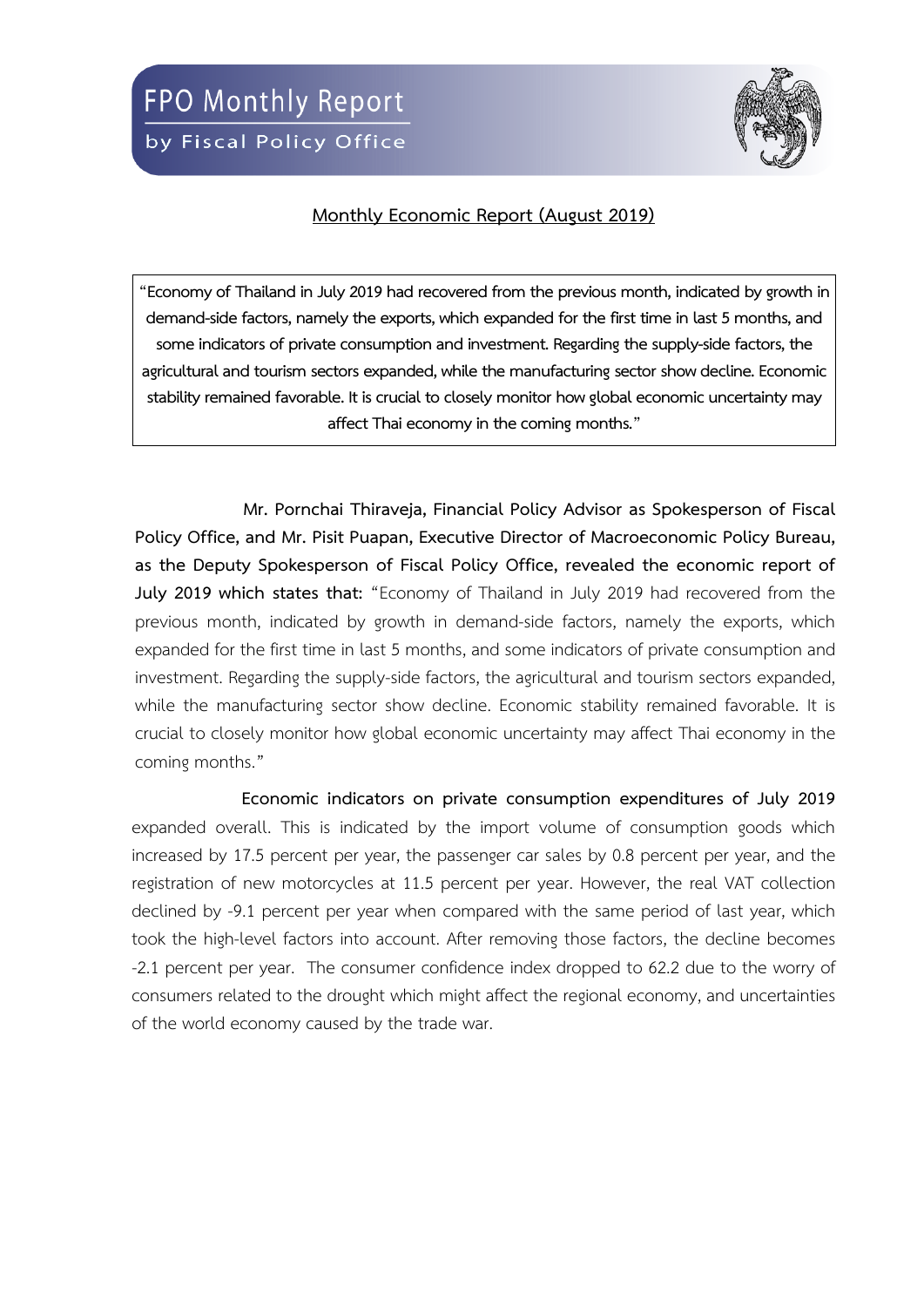

## **Monthly Economic Report (August 2019)**

**"Economy of Thailand in July 2019 had recovered from the previous month, indicated by growth in demand-side factors, namely the exports, which expanded for the first time in last 5 months, and some indicators of private consumption and investment. Regarding the supply-side factors, the agricultural and tourism sectors expanded, while the manufacturing sector show decline. Economic stability remained favorable. It is crucial to closely monitor how global economic uncertainty may affect Thai economy in the coming months."**

**Mr. Pornchai Thiraveja, Financial Policy Advisor as Spokesperson of Fiscal Policy Office, and Mr. Pisit Puapan, Executive Director of Macroeconomic Policy Bureau, as the Deputy Spokesperson of Fiscal Policy Office, revealed the economic report of July 2019 which states that:** "Economy of Thailand in July 2019 had recovered from the previous month, indicated by growth in demand-side factors, namely the exports, which expanded for the first time in last 5 months, and some indicators of private consumption and investment. Regarding the supply-side factors, the agricultural and tourism sectors expanded, while the manufacturing sector show decline. Economic stability remained favorable. It is crucial to closely monitor how global economic uncertainty may affect Thai economy in the coming months."

**Economic indicators on private consumption expenditures of July 2019**  expanded overall. This is indicated by the import volume of consumption goods which increased by 17.5 percent per year, the passenger car sales by 0.8 percent per year, and the registration of new motorcycles at 11.5 percent per year. However, the real VAT collection declined by -9.1 percent per year when compared with the same period of last year, which took the high-level factors into account. After removing those factors, the decline becomes -2.1 percent per year. The consumer confidence index dropped to 62.2 due to the worry of consumers related to the drought which might affect the regional economy, and uncertainties of the world economy caused by the trade war.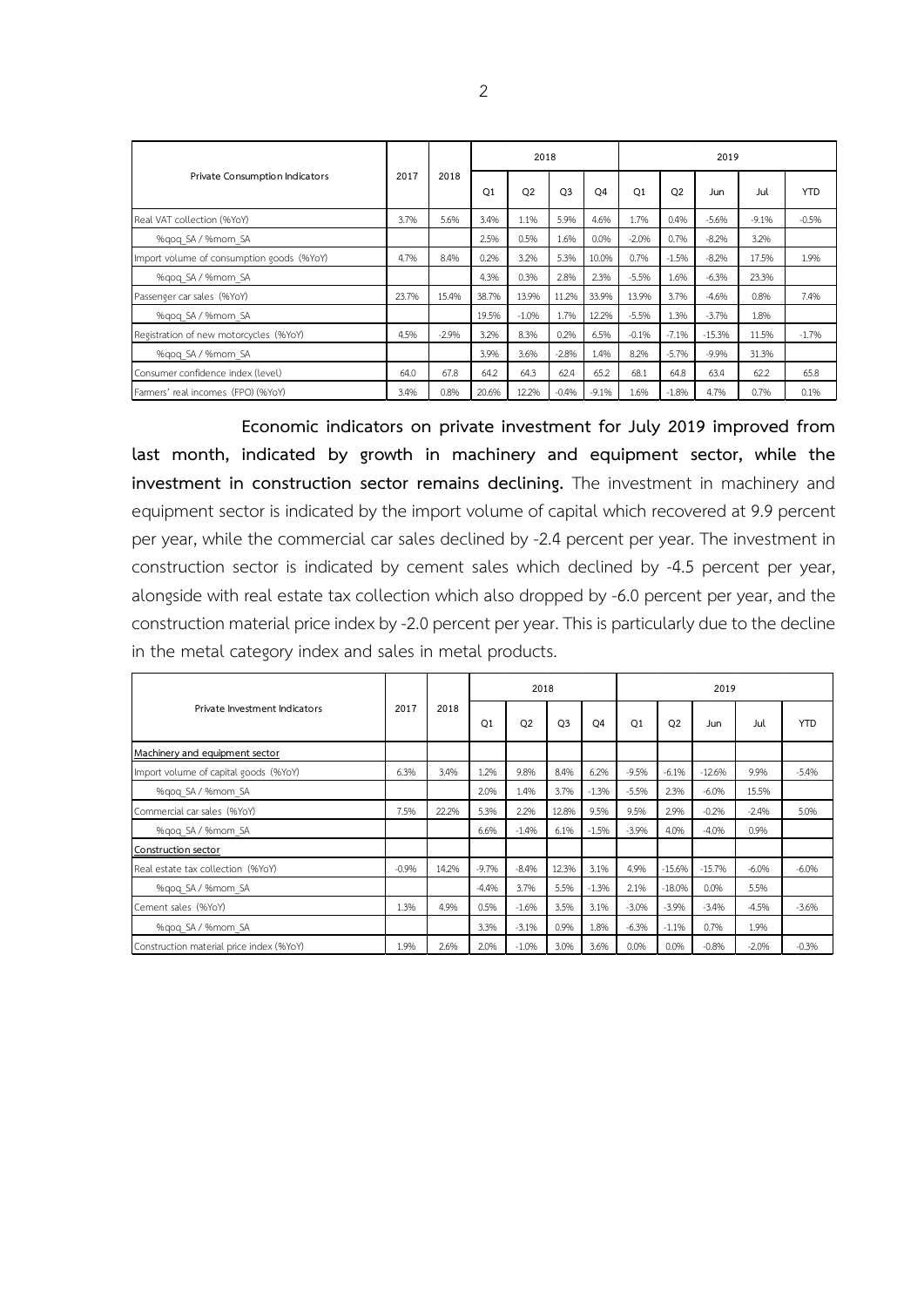|                                           | 2017  | 2018    |                | 2018           |                |                | 2019           |                |          |         |            |  |
|-------------------------------------------|-------|---------|----------------|----------------|----------------|----------------|----------------|----------------|----------|---------|------------|--|
| Private Consumption Indicators            |       |         | O <sub>1</sub> | O <sub>2</sub> | O <sub>3</sub> | O <sub>4</sub> | O <sub>1</sub> | O <sub>2</sub> | Jun      | Jul     | <b>YTD</b> |  |
| Real VAT collection (%YoY)                | 3.7%  | 5.6%    | 3.4%           | 1.1%           | 5.9%           | 4.6%           | 1.7%           | 0.4%           | $-5.6%$  | $-9.1%$ | $-0.5%$    |  |
| %gog SA / %mom SA                         |       |         | 2.5%           | 0.5%           | 1.6%           | 0.0%           | $-2.0%$        | 0.7%           | $-8.2%$  | 3.2%    |            |  |
| Import volume of consumption goods (%YoY) | 4.7%  | 8.4%    | 0.2%           | 3.2%           | 5.3%           | 10.0%          | 0.7%           | $-1.5%$        | $-8.2%$  | 17.5%   | 1.9%       |  |
| %gog SA / %mom SA                         |       |         | 4.3%           | 0.3%           | 2.8%           | 2.3%           | $-5.5%$        | 1.6%           | $-6.3%$  | 23.3%   |            |  |
| Passenger car sales (%YoY)                | 23.7% | 15.4%   | 38.7%          | 13.9%          | 11.2%          | 33.9%          | 13.9%          | 3.7%           | $-4.6%$  | 0.8%    | 7.4%       |  |
| %gog SA / %mom SA                         |       |         | 19.5%          | $-1.0%$        | 1.7%           | 12.2%          | $-5.5%$        | 1.3%           | $-3.7%$  | 1.8%    |            |  |
| Registration of new motorcycles (%YoY)    | 4.5%  | $-2.9%$ | 3.2%           | 8.3%           | 0.2%           | 6.5%           | $-0.1%$        | $-7.1%$        | $-15.3%$ | 11.5%   | $-1.7%$    |  |
| %gog SA / %mom SA                         |       |         | 3.9%           | 3.6%           | $-2.8%$        | 1.4%           | 8.2%           | $-5.7%$        | $-9.9%$  | 31.3%   |            |  |
| Consumer confidence index (level)         | 64.0  | 67.8    | 64.2           | 64.3           | 62.4           | 65.2           | 68.1           | 64.8           | 63.4     | 62.2    | 65.8       |  |
| Farmers' real incomes (FPO) (%YoY)        | 3.4%  | 0.8%    | 20.6%          | 12.2%          | $-0.4%$        | $-9.1%$        | 1.6%           | $-1.8%$        | 4.7%     | 0.7%    | 0.1%       |  |

**Economic indicators on private investment for July 2019 improved from last month, indicated by growth in machinery and equipment sector, while the investment in construction sector remains declining.** The investment in machinery and equipment sector is indicated by the import volume of capital which recovered at 9.9 percent per year, while the commercial car sales declined by -2.4 percent per year. The investment in construction sector is indicated by cement sales which declined by -4.5 percent per year, alongside with real estate tax collection which also dropped by -6.0 percent per year, and the construction material price index by -2.0 percent per year. This is particularly due to the decline in the metal category index and sales in metal products.

|                                          |         | 2018  |                | 2018           |                |                | 2019           |                |          |         |            |  |
|------------------------------------------|---------|-------|----------------|----------------|----------------|----------------|----------------|----------------|----------|---------|------------|--|
| Private Investment Indicators            | 2017    |       | O <sub>1</sub> | O <sub>2</sub> | O <sub>3</sub> | O <sub>4</sub> | O <sub>1</sub> | O <sub>2</sub> | Jun      | Jul     | <b>YTD</b> |  |
| Machinery and equipment sector           |         |       |                |                |                |                |                |                |          |         |            |  |
| Import volume of capital goods (%YoY)    | 6.3%    | 3.4%  | 1.2%           | 9.8%           | 8.4%           | 6.2%           | $-9.5%$        | $-6.1%$        | $-12.6%$ | 9.9%    | $-5.4%$    |  |
| %qoq SA / %mom SA                        |         |       | 2.0%           | 1.4%           | 3.7%           | $-1.3%$        | $-5.5%$        | 2.3%           | $-6.0%$  | 15.5%   |            |  |
| Commercial car sales (%YoY)              | 7.5%    | 22.2% | 5.3%           | 2.2%           | 12.8%          | 9.5%           | 9.5%           | 2.9%           | $-0.2%$  | $-2.4%$ | 5.0%       |  |
| %qoq SA / %mom SA                        |         |       | 6.6%           | $-1.4%$        | 6.1%           | $-1.5%$        | $-3.9%$        | 4.0%           | $-4.0%$  | 0.9%    |            |  |
| Construction sector                      |         |       |                |                |                |                |                |                |          |         |            |  |
| Real estate tax collection (%YoY)        | $-0.9%$ | 14.2% | $-9.7%$        | $-8.4%$        | 12.3%          | 3.1%           | 4.9%           | $-15.6%$       | $-15.7%$ | $-6.0%$ | $-6.0%$    |  |
| %gog SA / %mom SA                        |         |       | $-4.4%$        | 3.7%           | 5.5%           | $-1.3%$        | 2.1%           | $-18.0%$       | 0.0%     | 5.5%    |            |  |
| Cement sales (%YoY)                      | 1.3%    | 4.9%  | 0.5%           | $-1.6%$        | 3.5%           | 3.1%           | $-3.0%$        | $-3.9%$        | $-3.4%$  | $-4.5%$ | $-3.6%$    |  |
| %gog SA / %mom SA                        |         |       | 3.3%           | $-3.1%$        | 0.9%           | 1.8%           | $-6.3%$        | $-1.1%$        | 0.7%     | 1.9%    |            |  |
| Construction material price index (%YoY) | 1.9%    | 2.6%  | 2.0%           | $-1.0%$        | 3.0%           | 3.6%           | 0.0%           | 0.0%           | $-0.8%$  | $-2.0%$ | $-0.3%$    |  |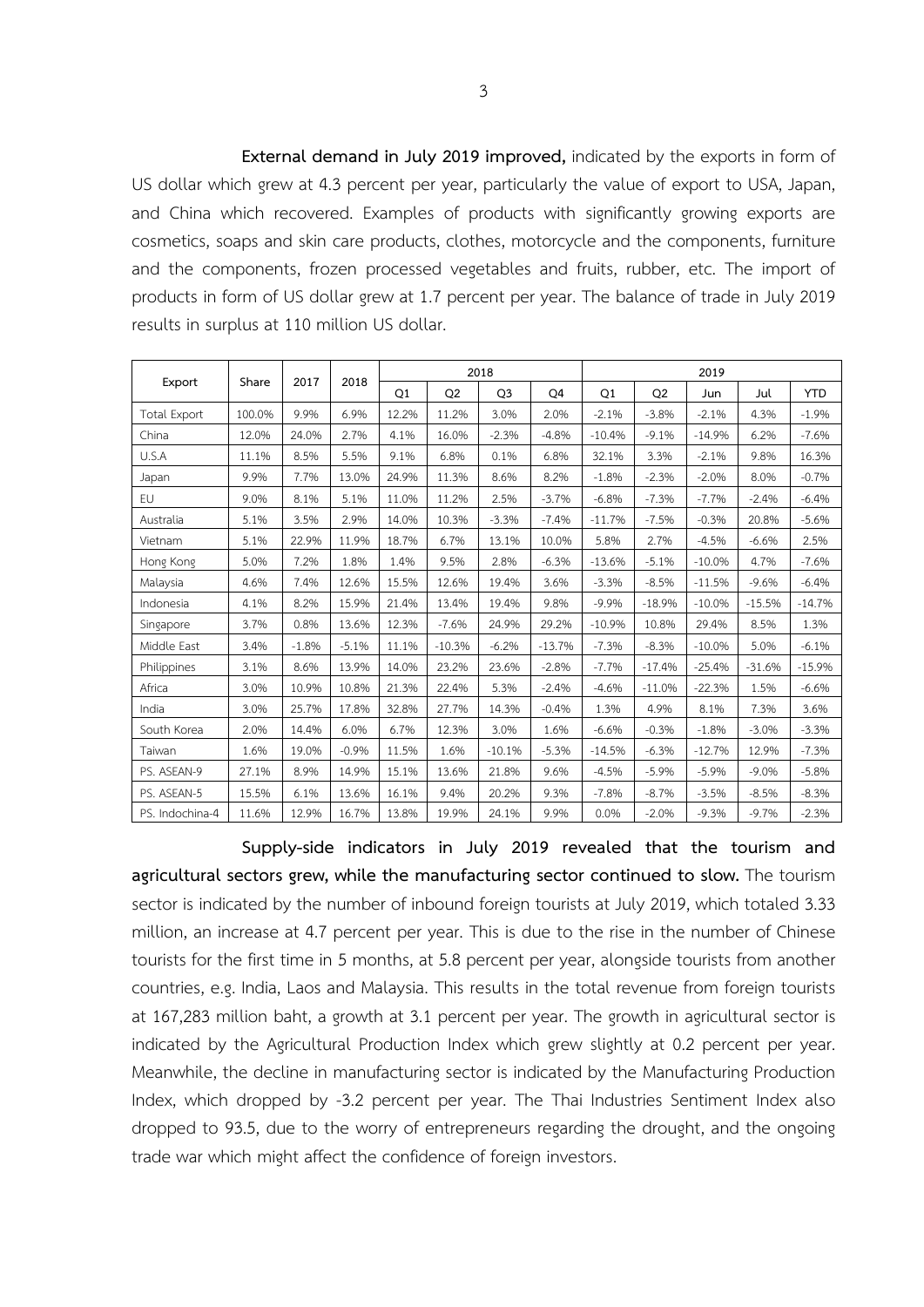**External demand in July 2019 improved,** indicated by the exports in form of US dollar which grew at 4.3 percent per year, particularly the value of export to USA, Japan, and China which recovered. Examples of products with significantly growing exports are cosmetics, soaps and skin care products, clothes, motorcycle and the components, furniture and the components, frozen processed vegetables and fruits, rubber, etc. The import of products in form of US dollar grew at 1.7 percent per year. The balance of trade in July 2019 results in surplus at 110 million US dollar.

|                     |        |         | 2018    |       |                | 2018           |          | 2019     |                |          |          |            |  |  |
|---------------------|--------|---------|---------|-------|----------------|----------------|----------|----------|----------------|----------|----------|------------|--|--|
| Export              | Share  | 2017    |         | Q1    | Q <sub>2</sub> | Q <sub>3</sub> | Q4       | Q1       | Q <sub>2</sub> | Jun      | Jul      | <b>YTD</b> |  |  |
| <b>Total Export</b> | 100.0% | 9.9%    | 6.9%    | 12.2% | 11.2%          | 3.0%           | 2.0%     | $-2.1%$  | $-3.8%$        | $-2.1%$  | 4.3%     | $-1.9%$    |  |  |
| China               | 12.0%  | 24.0%   | 2.7%    | 4.1%  | 16.0%          | $-2.3%$        | $-4.8%$  | $-10.4%$ | $-9.1%$        | $-14.9%$ | 6.2%     | $-7.6%$    |  |  |
| U.S.A               | 11.1%  | 8.5%    | 5.5%    | 9.1%  | 6.8%           | 0.1%           | 6.8%     | 32.1%    | 3.3%           | $-2.1%$  | 9.8%     | 16.3%      |  |  |
| Japan               | 9.9%   | 7.7%    | 13.0%   | 24.9% | 11.3%          | 8.6%           | 8.2%     | $-1.8%$  | $-2.3%$        | $-2.0%$  | 8.0%     | $-0.7%$    |  |  |
| EU                  | 9.0%   | 8.1%    | 5.1%    | 11.0% | 11.2%          | 2.5%           | $-3.7%$  | $-6.8%$  | $-7.3%$        | $-7.7%$  | $-2.4%$  | $-6.4%$    |  |  |
| Australia           | 5.1%   | 3.5%    | 2.9%    | 14.0% | 10.3%          | $-3.3%$        | $-7.4%$  | $-11.7%$ | $-7.5%$        | $-0.3%$  | 20.8%    | $-5.6%$    |  |  |
| Vietnam             | 5.1%   | 22.9%   | 11.9%   | 18.7% | 6.7%           | 13.1%          | 10.0%    | 5.8%     | 2.7%           | $-4.5%$  | $-6.6%$  | 2.5%       |  |  |
| Hong Kong           | 5.0%   | 7.2%    | 1.8%    | 1.4%  | 9.5%           | 2.8%           | $-6.3%$  | $-13.6%$ | $-5.1%$        | $-10.0%$ | 4.7%     | $-7.6%$    |  |  |
| Malaysia            | 4.6%   | 7.4%    | 12.6%   | 15.5% | 12.6%          | 19.4%          | 3.6%     | $-3.3%$  | $-8.5%$        | $-11.5%$ | $-9.6%$  | $-6.4%$    |  |  |
| Indonesia           | 4.1%   | 8.2%    | 15.9%   | 21.4% | 13.4%          | 19.4%          | 9.8%     | $-9.9%$  | $-18.9%$       | $-10.0%$ | $-15.5%$ | $-14.7%$   |  |  |
| Singapore           | 3.7%   | 0.8%    | 13.6%   | 12.3% | $-7.6%$        | 24.9%          | 29.2%    | $-10.9%$ | 10.8%          | 29.4%    | 8.5%     | 1.3%       |  |  |
| Middle East         | 3.4%   | $-1.8%$ | $-5.1%$ | 11.1% | $-10.3%$       | $-6.2%$        | $-13.7%$ | $-7.3%$  | $-8.3%$        | $-10.0%$ | 5.0%     | $-6.1%$    |  |  |
| Philippines         | 3.1%   | 8.6%    | 13.9%   | 14.0% | 23.2%          | 23.6%          | $-2.8%$  | $-7.7%$  | $-17.4%$       | $-25.4%$ | $-31.6%$ | $-15.9%$   |  |  |
| Africa              | 3.0%   | 10.9%   | 10.8%   | 21.3% | 22.4%          | 5.3%           | $-2.4%$  | $-4.6%$  | $-11.0%$       | $-22.3%$ | 1.5%     | $-6.6%$    |  |  |
| India               | 3.0%   | 25.7%   | 17.8%   | 32.8% | 27.7%          | 14.3%          | $-0.4%$  | 1.3%     | 4.9%           | 8.1%     | 7.3%     | 3.6%       |  |  |
| South Korea         | 2.0%   | 14.4%   | 6.0%    | 6.7%  | 12.3%          | 3.0%           | 1.6%     | $-6.6%$  | $-0.3%$        | $-1.8%$  | $-3.0%$  | $-3.3%$    |  |  |
| Taiwan              | 1.6%   | 19.0%   | $-0.9%$ | 11.5% | 1.6%           | $-10.1%$       | $-5.3%$  | $-14.5%$ | $-6.3%$        | $-12.7%$ | 12.9%    | $-7.3%$    |  |  |
| PS. ASEAN-9         | 27.1%  | 8.9%    | 14.9%   | 15.1% | 13.6%          | 21.8%          | 9.6%     | $-4.5%$  | $-5.9%$        | $-5.9%$  | $-9.0%$  | $-5.8%$    |  |  |
| PS. ASEAN-5         | 15.5%  | 6.1%    | 13.6%   | 16.1% | 9.4%           | 20.2%          | 9.3%     | $-7.8%$  | $-8.7%$        | $-3.5%$  | $-8.5%$  | $-8.3%$    |  |  |
| PS. Indochina-4     | 11.6%  | 12.9%   | 16.7%   | 13.8% | 19.9%          | 24.1%          | 9.9%     | 0.0%     | $-2.0%$        | $-9.3%$  | $-9.7%$  | $-2.3%$    |  |  |

**Supply-side indicators in July 2019 revealed that the tourism and agricultural sectors grew, while the manufacturing sector continued to slow.** The tourism sector is indicated by the number of inbound foreign tourists at July 2019, which totaled 3.33 million, an increase at 4.7 percent per year. This is due to the rise in the number of Chinese tourists for the first time in 5 months, at 5.8 percent per year, alongside tourists from another countries, e.g. India, Laos and Malaysia. This results in the total revenue from foreign tourists at 167,283 million baht, a growth at 3.1 percent per year. The growth in agricultural sector is indicated by the Agricultural Production Index which grew slightly at 0.2 percent per year. Meanwhile, the decline in manufacturing sector is indicated by the Manufacturing Production Index, which dropped by -3.2 percent per year. The Thai Industries Sentiment Index also dropped to 93.5, due to the worry of entrepreneurs regarding the drought, and the ongoing trade war which might affect the confidence of foreign investors.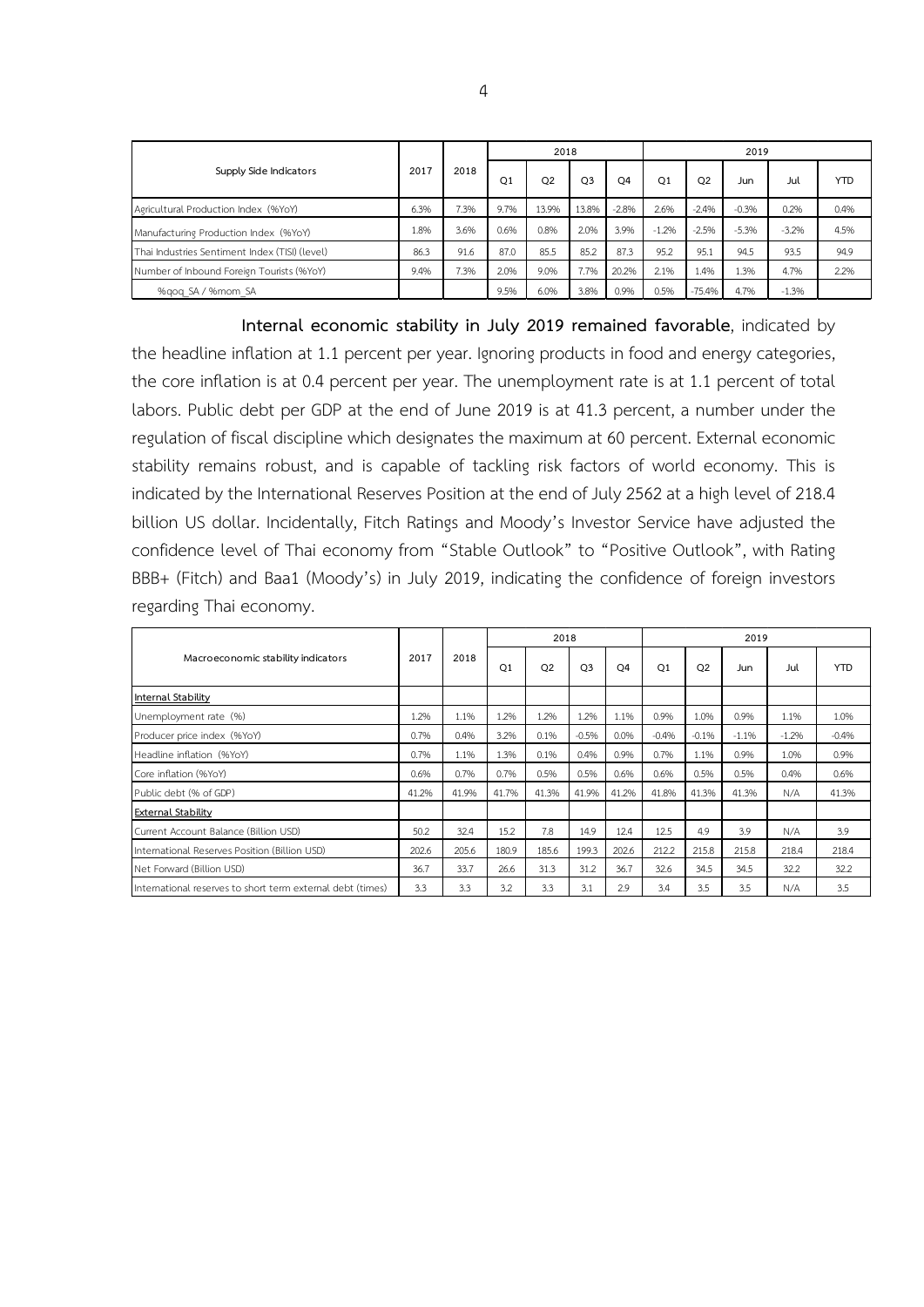|                                                |      | 2018 |      | 2018           |                |                | 2019    |                |         |         |            |  |
|------------------------------------------------|------|------|------|----------------|----------------|----------------|---------|----------------|---------|---------|------------|--|
| Supply Side Indicators                         | 2017 |      | Q1   | Q <sub>2</sub> | O <sub>3</sub> | O <sub>4</sub> | Q1      | Q <sub>2</sub> | Jun     | Jul     | <b>YTD</b> |  |
| Agricultural Production Index (%YoY)           | 6.3% | 7.3% | 9.7% | 13.9%          | 13.8%          | $-2.8%$        | 2.6%    | $-2.4%$        | $-0.3%$ | 0.2%    | 0.4%       |  |
| Manufacturing Production Index (%YoY)          | 1.8% | 3.6% | 0.6% | 0.8%           | 2.0%           | 3.9%           | $-1.2%$ | $-2.5%$        | $-5.3%$ | $-3.2%$ | 4.5%       |  |
| Thai Industries Sentiment Index (TISI) (level) | 86.3 | 91.6 | 87.0 | 85.5           | 85.2           | 87.3           | 95.2    | 95.1           | 94.5    | 93.5    | 94.9       |  |
| Number of Inbound Foreign Tourists (%YoY)      | 9.4% | 7.3% | 2.0% | 9.0%           | 7.7%           | 20.2%          | 2.1%    | 1.4%           | .3%     | 4.7%    | 2.2%       |  |
| %gog SA / %mom SA                              |      |      | 9.5% | 6.0%           | 3.8%           | 0.9%           | 0.5%    | $-75.4%$       | 4.7%    | $-1.3%$ |            |  |

**Internal economic stability in July 2019 remained favorable**, indicated by the headline inflation at 1.1 percent per year. Ignoring products in food and energy categories, the core inflation is at 0.4 percent per year. The unemployment rate is at 1.1 percent of total labors. Public debt per GDP at the end of June 2019 is at 41.3 percent, a number under the regulation of fiscal discipline which designates the maximum at 60 percent. External economic stability remains robust, and is capable of tackling risk factors of world economy. This is indicated by the International Reserves Position at the end of July 2562 at a high level of 218.4 billion US dollar. Incidentally, Fitch Ratings and Moody's Investor Service have adjusted the confidence level of Thai economy from "Stable Outlook" to "Positive Outlook", with Rating BBB+ (Fitch) and Baa1 (Moody's) in July 2019, indicating the confidence of foreign investors regarding Thai economy.

|                                                            |       |       |                | 2018  |                |                | 2019           |                |         |         |            |  |
|------------------------------------------------------------|-------|-------|----------------|-------|----------------|----------------|----------------|----------------|---------|---------|------------|--|
| Macroeconomic stability indicators                         | 2017  | 2018  | O <sub>1</sub> | Q2    | Q <sub>3</sub> | O <sub>4</sub> | O <sub>1</sub> | O <sub>2</sub> | Jun     | Jul     | <b>YTD</b> |  |
| Internal Stability                                         |       |       |                |       |                |                |                |                |         |         |            |  |
| Unemployment rate (%)                                      | 1.2%  | 1.1%  | 1.2%           | 1.2%  | 1.2%           | 1.1%           | 0.9%           | 1.0%           | 0.9%    | 1.1%    | 1.0%       |  |
| Producer price index (%YoY)                                | 0.7%  | 0.4%  | 3.2%           | 0.1%  | $-0.5%$        | 0.0%           | $-0.4%$        | $-0.1%$        | $-1.1%$ | $-1.2%$ | $-0.4%$    |  |
| Headline inflation (%YoY)                                  | 0.7%  | 1.1%  | 1.3%           | 0.1%  | 0.4%           | 0.9%           | 0.7%           | 1.1%           | 0.9%    | 1.0%    | 0.9%       |  |
| Core inflation (%YoY)                                      | 0.6%  | 0.7%  | 0.7%           | 0.5%  | 0.5%           | 0.6%           | 0.6%           | 0.5%           | 0.5%    | 0.4%    | 0.6%       |  |
| Public debt (% of GDP)                                     | 41.2% | 41.9% | 41.7%          | 41.3% | 41.9%          | 41.2%          | 41.8%          | 41.3%          | 41.3%   | N/A     | 41.3%      |  |
| <b>External Stability</b>                                  |       |       |                |       |                |                |                |                |         |         |            |  |
| Current Account Balance (Billion USD)                      | 50.2  | 32.4  | 15.2           | 7.8   | 14.9           | 12.4           | 12.5           | 4.9            | 3.9     | N/A     | 3.9        |  |
| International Reserves Position (Billion USD)              | 202.6 | 205.6 | 180.9          | 185.6 | 199.3          | 202.6          | 212.2          | 215.8          | 215.8   | 218.4   | 218.4      |  |
| Net Forward (Billion USD)                                  | 36.7  | 33.7  | 26.6           | 31.3  | 31.2           | 36.7           | 32.6           | 34.5           | 34.5    | 32.2    | 32.2       |  |
| International reserves to short term external debt (times) | 3.3   | 3.3   | 3.2            | 3.3   | 3.1            | 2.9            | 3.4            | 3.5            | 3.5     | N/A     | 3.5        |  |